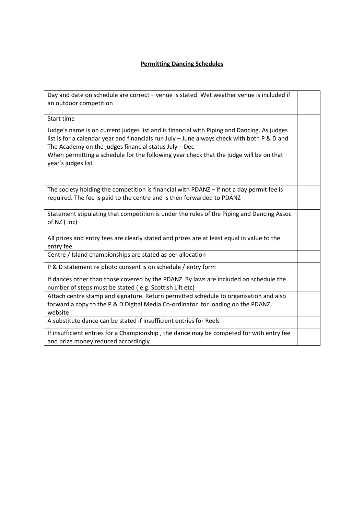## **Permitting Dancing Schedules**

| Day and date on schedule are correct - venue is stated. Wet weather venue is included if<br>an outdoor competition                                                                                                                                                                                                                                                 |  |
|--------------------------------------------------------------------------------------------------------------------------------------------------------------------------------------------------------------------------------------------------------------------------------------------------------------------------------------------------------------------|--|
| Start time                                                                                                                                                                                                                                                                                                                                                         |  |
| Judge's name is on current judges list and is financial with Piping and Dancing. As judges<br>list is for a calendar year and financials run July - June always check with both P & D and<br>The Academy on the judges financial status July - Dec<br>When permitting a schedule for the following year check that the judge will be on that<br>year's judges list |  |
| The society holding the competition is financial with PDANZ - if not a day permit fee is<br>required. The fee is paid to the centre and is then forwarded to PDANZ                                                                                                                                                                                                 |  |
| Statement stipulating that competition is under the rules of the Piping and Dancing Assoc<br>of NZ (Inc)                                                                                                                                                                                                                                                           |  |
| All prizes and entry fees are clearly stated and prizes are at least equal in value to the<br>entry fee                                                                                                                                                                                                                                                            |  |
| Centre / Island championships are stated as per allocation                                                                                                                                                                                                                                                                                                         |  |
| P & D statement re photo consent is on schedule / entry form                                                                                                                                                                                                                                                                                                       |  |
| If dances other than those covered by the PDANZ By laws are included on schedule the<br>number of steps must be stated (e.g. Scottish Lilt etc)                                                                                                                                                                                                                    |  |
| Attach centre stamp and signature. Return permitted schedule to organisation and also<br>forward a copy to the P & D Digital Media Co-ordinator for loading on the PDANZ<br>website                                                                                                                                                                                |  |
| A substitute dance can be stated if insufficient entries for Reels                                                                                                                                                                                                                                                                                                 |  |
| If insufficient entries for a Championship, the dance may be competed for with entry fee<br>and prize money reduced accordingly                                                                                                                                                                                                                                    |  |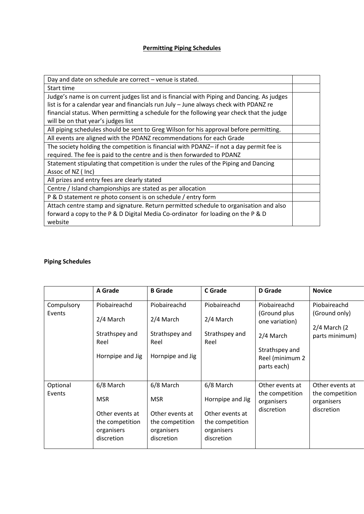## **Permitting Piping Schedules**

| Day and date on schedule are correct - venue is stated.                                    |  |
|--------------------------------------------------------------------------------------------|--|
| Start time                                                                                 |  |
| Judge's name is on current judges list and is financial with Piping and Dancing. As judges |  |
| list is for a calendar year and financials run July - June always check with PDANZ re      |  |
| financial status. When permitting a schedule for the following year check that the judge   |  |
| will be on that year's judges list                                                         |  |
| All piping schedules should be sent to Greg Wilson for his approval before permitting.     |  |
| All events are aligned with the PDANZ recommendations for each Grade                       |  |
| The society holding the competition is financial with PDANZ- if not a day permit fee is    |  |
| required. The fee is paid to the centre and is then forwarded to PDANZ                     |  |
| Statement stipulating that competition is under the rules of the Piping and Dancing        |  |
| Assoc of NZ (Inc)                                                                          |  |
| All prizes and entry fees are clearly stated                                               |  |
| Centre / Island championships are stated as per allocation                                 |  |
| P & D statement re photo consent is on schedule / entry form                               |  |
| Attach centre stamp and signature. Return permitted schedule to organisation and also      |  |
| forward a copy to the P & D Digital Media Co-ordinator for loading on the P & D            |  |
| website                                                                                    |  |

## **Piping Schedules**

|            | A Grade                | <b>B</b> Grade         | <b>C</b> Grade         | <b>D</b> Grade                                   | <b>Novice</b>                                      |
|------------|------------------------|------------------------|------------------------|--------------------------------------------------|----------------------------------------------------|
| Compulsory | Piobaireachd           | Piobaireachd           | Piobaireachd           | Piobaireachd                                     | Piobaireachd                                       |
| Events     | 2/4 March              | 2/4 March              | 2/4 March              | (Ground plus)<br>one variation)                  | (Ground only)<br>$2/4$ March (2)<br>parts minimum) |
|            | Strathspey and<br>Reel | Strathspey and<br>Reel | Strathspey and<br>Reel | 2/4 March                                        |                                                    |
|            | Hornpipe and Jig       | Hornpipe and Jig       |                        | Strathspey and<br>Reel (minimum 2<br>parts each) |                                                    |
| Optional   | 6/8 March              | 6/8 March              | 6/8 March              | Other events at                                  | Other events at                                    |
| Events     | <b>MSR</b>             | <b>MSR</b>             | Hornpipe and Jig       | the competition<br>organisers                    | the competition<br>organisers                      |
|            | Other events at        | Other events at        | Other events at        | discretion                                       | discretion                                         |
|            | the competition        | the competition        | the competition        |                                                  |                                                    |
|            | organisers             | organisers             | organisers             |                                                  |                                                    |
|            | discretion             | discretion             | discretion             |                                                  |                                                    |